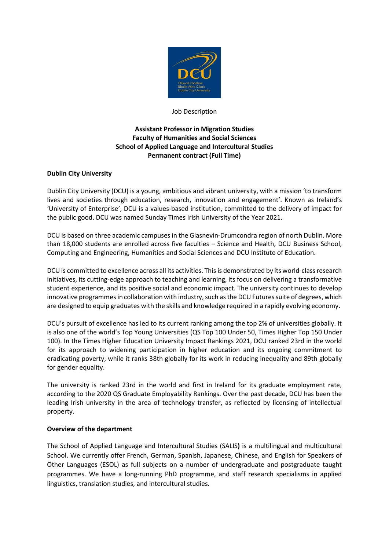

Job Description

# **Assistant Professor in Migration Studies Faculty of Humanities and Social Sciences School of Applied Language and Intercultural Studies Permanent contract (Full Time)**

## **Dublin City University**

Dublin City University (DCU) is a young, ambitious and vibrant university, with a mission 'to transform lives and societies through education, research, innovation and engagement'. Known as Ireland's 'University of Enterprise', DCU is a values-based institution, committed to the delivery of impact for the public good. DCU was named Sunday Times Irish University of the Year 2021.

DCU is based on three academic campuses in the Glasnevin-Drumcondra region of north Dublin. More than 18,000 students are enrolled across five faculties – Science and Health, DCU Business School, Computing and Engineering, Humanities and Social Sciences and DCU Institute of Education.

DCU is committed to excellence across all its activities. This is demonstrated by its world-class research initiatives, its cutting-edge approach to teaching and learning, its focus on delivering a transformative student experience, and its positive social and economic impact. The university continues to develop innovative programmes in collaboration with industry, such as the DCU Futures suite of degrees, which are designed to equip graduates with the skills and knowledge required in a rapidly evolving economy.

DCU's pursuit of excellence has led to its current ranking among the top 2% of universities globally. It is also one of the world's Top Young Universities (QS Top 100 Under 50, Times Higher Top 150 Under 100). In the Times Higher Education University Impact Rankings 2021, DCU ranked 23rd in the world for its approach to widening participation in higher education and its ongoing commitment to eradicating poverty, while it ranks 38th globally for its work in reducing inequality and 89th globally for gender equality.

The university is ranked 23rd in the world and first in Ireland for its graduate employment rate, according to the 2020 QS Graduate Employability Rankings. Over the past decade, DCU has been the leading Irish university in the area of technology transfer, as reflected by licensing of intellectual property.

#### **Overview of the department**

The School of Applied Language and Intercultural Studies (SALIS**)** is a multilingual and multicultural School. We currently offer French, German, Spanish, Japanese, Chinese, and English for Speakers of Other Languages (ESOL) as full subjects on a number of undergraduate and postgraduate taught programmes. We have a long-running PhD programme, and staff research specialisms in applied linguistics, translation studies, and intercultural studies.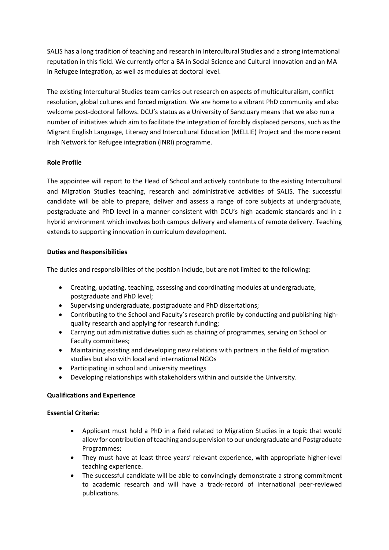SALIS has a long tradition of teaching and research in Intercultural Studies and a strong international reputation in this field. We currently offer a BA in Social Science and Cultural Innovation and an MA in Refugee Integration, as well as modules at doctoral level.

The existing Intercultural Studies team carries out research on aspects of multiculturalism, conflict resolution, global cultures and forced migration. We are home to a vibrant PhD community and also welcome post-doctoral fellows. DCU's status as a University of Sanctuary means that we also run a number of initiatives which aim to facilitate the integration of forcibly displaced persons, such as the Migrant English Language, Literacy and Intercultural Education (MELLIE) Project and the more recent Irish Network for Refugee integration (INRI) programme.

## **Role Profile**

The appointee will report to the Head of School and actively contribute to the existing Intercultural and Migration Studies teaching, research and administrative activities of SALIS. The successful candidate will be able to prepare, deliver and assess a range of core subjects at undergraduate, postgraduate and PhD level in a manner consistent with DCU's high academic standards and in a hybrid environment which involves both campus delivery and elements of remote delivery. Teaching extends to supporting innovation in curriculum development.

## **Duties and Responsibilities**

The duties and responsibilities of the position include, but are not limited to the following:

- Creating, updating, teaching, assessing and coordinating modules at undergraduate, postgraduate and PhD level;
- Supervising undergraduate, postgraduate and PhD dissertations;
- Contributing to the School and Faculty's research profile by conducting and publishing highquality research and applying for research funding;
- Carrying out administrative duties such as chairing of programmes, serving on School or Faculty committees;
- Maintaining existing and developing new relations with partners in the field of migration studies but also with local and international NGOs
- Participating in school and university meetings
- Developing relationships with stakeholders within and outside the University.

## **Qualifications and Experience**

## **Essential Criteria:**

- Applicant must hold a PhD in a field related to Migration Studies in a topic that would allow for contribution ofteaching and supervision to our undergraduate and Postgraduate Programmes;
- They must have at least three years' relevant experience, with appropriate higher-level teaching experience.
- The successful candidate will be able to convincingly demonstrate a strong commitment to academic research and will have a track-record of international peer-reviewed publications.